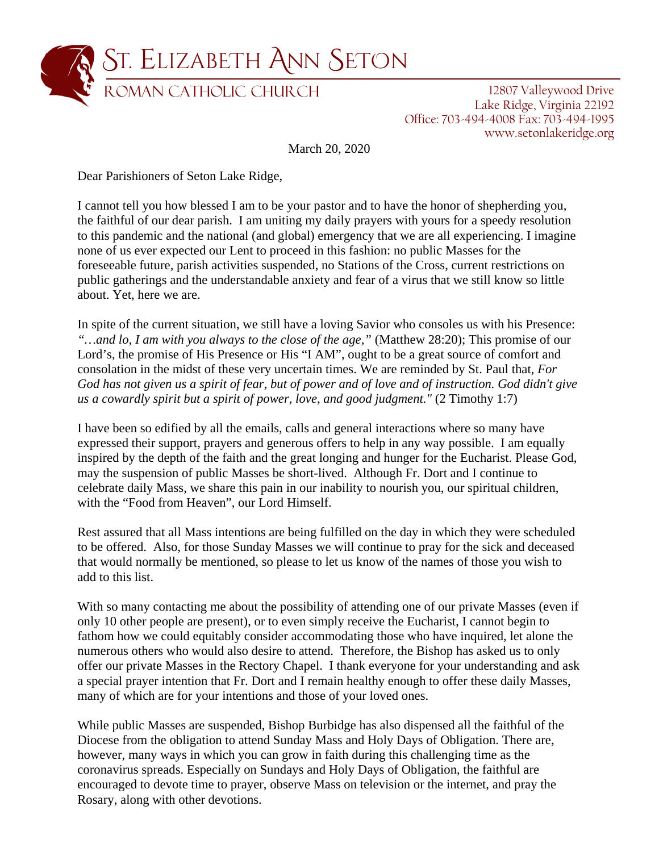

Lake Ridge, Virginia 22192 Office: 703-494-4008 Fax: 703-494-1995 www.setonlakeridge.org

March 20, 2020

Dear Parishioners of Seton Lake Ridge,

I cannot tell you how blessed I am to be your pastor and to have the honor of shepherding you, the faithful of our dear parish. I am uniting my daily prayers with yours for a speedy resolution to this pandemic and the national (and global) emergency that we are all experiencing. I imagine none of us ever expected our Lent to proceed in this fashion: no public Masses for the foreseeable future, parish activities suspended, no Stations of the Cross, current restrictions on public gatherings and the understandable anxiety and fear of a virus that we still know so little about. Yet, here we are.

In spite of the current situation, we still have a loving Savior who consoles us with his Presence: *"…and lo, I am with you always to the close of the age,"* (Matthew 28:20); This promise of our Lord's, the promise of His Presence or His "I AM", ought to be a great source of comfort and consolation in the midst of these very uncertain times. We are reminded by St. Paul that, *For God has not given us a spirit of fear, but of power and of love and of instruction. God didn't give us a cowardly spirit but a spirit of power, love, and good judgment."* (2 Timothy 1:7)

I have been so edified by all the emails, calls and general interactions where so many have expressed their support, prayers and generous offers to help in any way possible. I am equally inspired by the depth of the faith and the great longing and hunger for the Eucharist. Please God, may the suspension of public Masses be short-lived. Although Fr. Dort and I continue to celebrate daily Mass, we share this pain in our inability to nourish you, our spiritual children, with the "Food from Heaven", our Lord Himself.

Rest assured that all Mass intentions are being fulfilled on the day in which they were scheduled to be offered. Also, for those Sunday Masses we will continue to pray for the sick and deceased that would normally be mentioned, so please to let us know of the names of those you wish to add to this list.

With so many contacting me about the possibility of attending one of our private Masses (even if only 10 other people are present), or to even simply receive the Eucharist, I cannot begin to fathom how we could equitably consider accommodating those who have inquired, let alone the numerous others who would also desire to attend. Therefore, the Bishop has asked us to only offer our private Masses in the Rectory Chapel. I thank everyone for your understanding and ask a special prayer intention that Fr. Dort and I remain healthy enough to offer these daily Masses, many of which are for your intentions and those of your loved ones.

While public Masses are suspended, Bishop Burbidge has also dispensed all the faithful of the Diocese from the obligation to attend Sunday Mass and Holy Days of Obligation. There are, however, many ways in which you can grow in faith during this challenging time as the coronavirus spreads. Especially on Sundays and Holy Days of Obligation, the faithful are encouraged to devote time to prayer, observe Mass on television or the internet, and pray the Rosary, along with other devotions.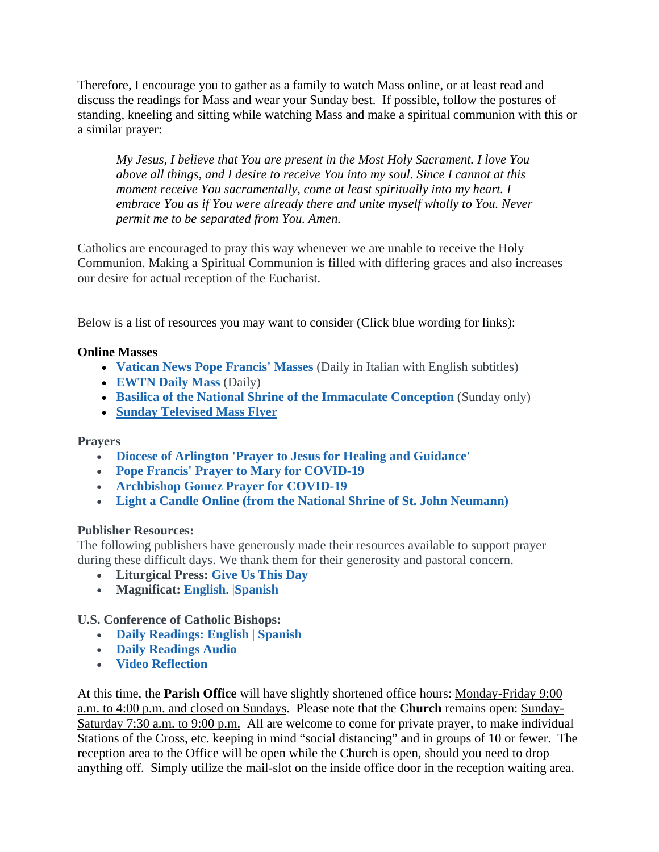Therefore, I encourage you to gather as a family to watch Mass online, or at least read and discuss the readings for Mass and wear your Sunday best. If possible, follow the postures of standing, kneeling and sitting while watching Mass and make a spiritual communion with this or a similar prayer:

*My Jesus, I believe that You are present in the Most Holy Sacrament. I love You above all things, and I desire to receive You into my soul. Since I cannot at this moment receive You sacramentally, come at least spiritually into my heart. I embrace You as if You were already there and unite myself wholly to You. Never permit me to be separated from You. Amen.*

Catholics are encouraged to pray this way whenever we are unable to receive the Holy Communion. Making a Spiritual Communion is filled with differing graces and also increases our desire for actual reception of the Eucharist.

Below is a list of resources you may want to consider (Click blue wording for links):

## **Online Masses**

- **Vatican News Pope Francis' Masses** (Daily in Italian with English subtitles)
- **EWTN Daily Mass** (Daily)
- **Basilica of the National Shrine of the Immaculate Conception** (Sunday only)
- **Sunday Televised Mass Flyer**

## **Prayers**

- **Diocese of Arlington 'Prayer to Jesus for Healing and Guidance'**
- **Pope Francis' Prayer to Mary for COVID-19**
- **Archbishop Gomez Prayer for COVID-19**
- **Light a Candle Online (from the National Shrine of St. John Neumann)**

## **Publisher Resources:**

The following publishers have generously made their resources available to support prayer during these difficult days. We thank them for their generosity and pastoral concern.

- **Liturgical Press: Give Us This Day**
- **Magnificat: English**. |**Spanish**

**U.S. Conference of Catholic Bishops:**

- **Daily Readings: English** | **Spanish**
- **Daily Readings Audio**
- **Video Reflection**

At this time, the **Parish Office** will have slightly shortened office hours: Monday-Friday 9:00 a.m. to 4:00 p.m. and closed on Sundays. Please note that the **Church** remains open: Sunday-Saturday 7:30 a.m. to 9:00 p.m. All are welcome to come for private prayer, to make individual Stations of the Cross, etc. keeping in mind "social distancing" and in groups of 10 or fewer. The reception area to the Office will be open while the Church is open, should you need to drop anything off. Simply utilize the mail-slot on the inside office door in the reception waiting area.